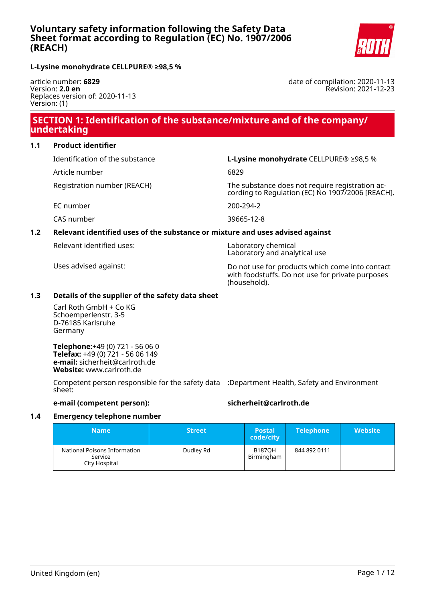

date of compilation: 2020-11-13

Revision: 2021-12-23

**L-Lysine monohydrate CELLPURE® ≥98,5 %**

article number: **6829** Version: **2.0 en** Replaces version of: 2020-11-13 Version: (1)

### **SECTION 1: Identification of the substance/mixture and of the company/ undertaking**

### **1.1 Product identifier**

Identification of the substance **L-Lysine monohydrate** CELLPURE® ≥98,5 %

Article number 6829

Registration number (REACH) The substance does not require registration according to Regulation (EC) No 1907/2006 [REACH].

EC number 200-294-2

CAS number 39665-12-8

### **1.2 Relevant identified uses of the substance or mixture and uses advised against**

Relevant identified uses: Laboratory chemical

Laboratory and analytical use

Uses advised against: Do not use for products which come into contact with foodstuffs. Do not use for private purposes (household).

### **1.3 Details of the supplier of the safety data sheet**

Carl Roth GmbH + Co KG Schoemperlenstr. 3-5 D-76185 Karlsruhe Germany

**Telephone:**+49 (0) 721 - 56 06 0 **Telefax:** +49 (0) 721 - 56 06 149 **e-mail:** sicherheit@carlroth.de **Website:** www.carlroth.de

Competent person responsible for the safety data :Department Health, Safety and Environment sheet:

### **e-mail (competent person): sicherheit@carlroth.de**

### **1.4 Emergency telephone number**

| <b>Name</b>                                              | <b>Street</b> | <b>Postal</b><br>code/city  | <b>Telephone</b> | <b>Website</b> |
|----------------------------------------------------------|---------------|-----------------------------|------------------|----------------|
| National Poisons Information<br>Service<br>City Hospital | Dudley Rd     | <b>B187OH</b><br>Birmingham | 844 892 0111     |                |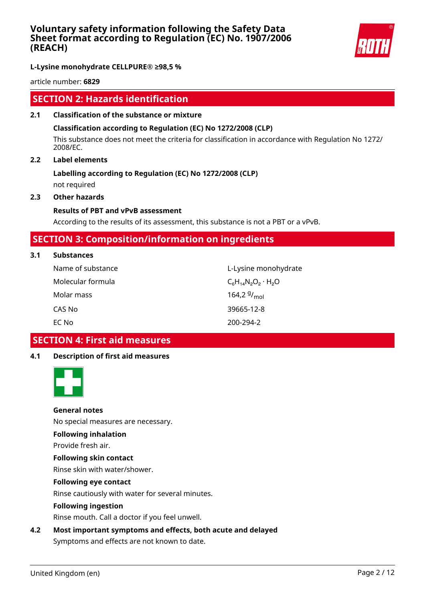

**L-Lysine monohydrate CELLPURE® ≥98,5 %**

article number: **6829**

### **SECTION 2: Hazards identification**

**2.1 Classification of the substance or mixture**

### **Classification according to Regulation (EC) No 1272/2008 (CLP)**

This substance does not meet the criteria for classification in accordance with Regulation No 1272/ 2008/EC.

### **2.2 Label elements**

## **Labelling according to Regulation (EC) No 1272/2008 (CLP)**

not required

### **2.3 Other hazards**

### **Results of PBT and vPvB assessment**

According to the results of its assessment, this substance is not a PBT or a vPvB.

### **SECTION 3: Composition/information on ingredients**

### **3.1 Substances**

| Name of substance | L-Lysine monohydrate         |
|-------------------|------------------------------|
| Molecular formula | $C_6H_{14}N_2O_2 \cdot H_2O$ |
| Molar mass        | 164,2 $9/_{mol}$             |
| CAS No            | 39665-12-8                   |
| EC No             | 200-294-2                    |

### **SECTION 4: First aid measures**

### **4.1 Description of first aid measures**



### **General notes**

No special measures are necessary.

### **Following inhalation**

Provide fresh air.

### **Following skin contact**

Rinse skin with water/shower.

### **Following eye contact**

Rinse cautiously with water for several minutes.

### **Following ingestion**

Rinse mouth. Call a doctor if you feel unwell.

### **4.2 Most important symptoms and effects, both acute and delayed**

Symptoms and effects are not known to date.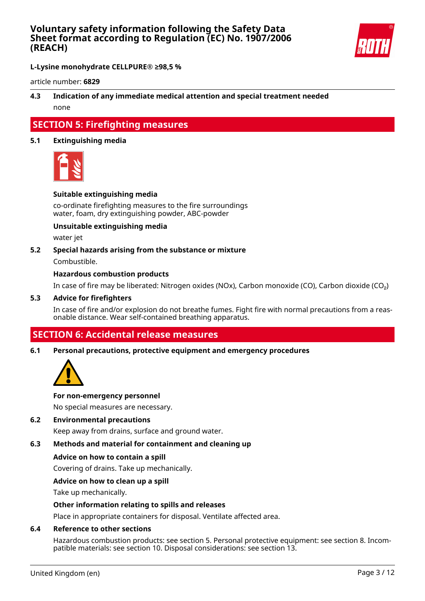

**L-Lysine monohydrate CELLPURE® ≥98,5 %**

article number: **6829**

### **4.3 Indication of any immediate medical attention and special treatment needed** none

### **SECTION 5: Firefighting measures**

### **5.1 Extinguishing media**



### **Suitable extinguishing media**

co-ordinate firefighting measures to the fire surroundings water, foam, dry extinguishing powder, ABC-powder

### **Unsuitable extinguishing media**

water jet

#### **5.2 Special hazards arising from the substance or mixture**

Combustible.

### **Hazardous combustion products**

In case of fire may be liberated: Nitrogen oxides (NOx), Carbon monoxide (CO), Carbon dioxide (CO₂)

#### **5.3 Advice for firefighters**

In case of fire and/or explosion do not breathe fumes. Fight fire with normal precautions from a reasonable distance. Wear self-contained breathing apparatus.

### **SECTION 6: Accidental release measures**

#### **6.1 Personal precautions, protective equipment and emergency procedures**



#### **For non-emergency personnel**

No special measures are necessary.

#### **6.2 Environmental precautions**

Keep away from drains, surface and ground water.

### **6.3 Methods and material for containment and cleaning up**

#### **Advice on how to contain a spill**

Covering of drains. Take up mechanically.

### **Advice on how to clean up a spill**

Take up mechanically.

### **Other information relating to spills and releases**

Place in appropriate containers for disposal. Ventilate affected area.

#### **6.4 Reference to other sections**

Hazardous combustion products: see section 5. Personal protective equipment: see section 8. Incompatible materials: see section 10. Disposal considerations: see section 13.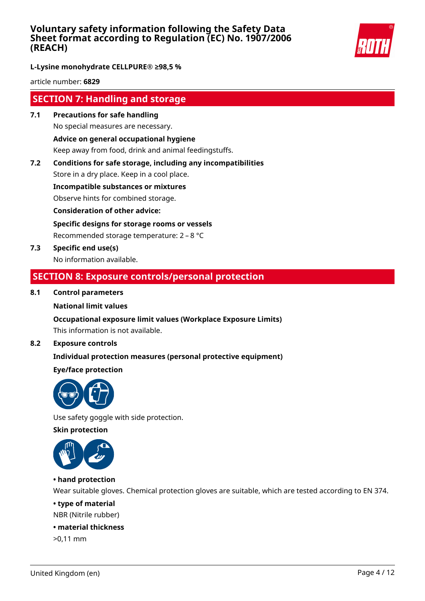

**L-Lysine monohydrate CELLPURE® ≥98,5 %**

article number: **6829**

### **SECTION 7: Handling and storage**

- **7.1 Precautions for safe handling** No special measures are necessary. **Advice on general occupational hygiene** Keep away from food, drink and animal feedingstuffs.
- **7.2 Conditions for safe storage, including any incompatibilities**

Store in a dry place. Keep in a cool place.

**Incompatible substances or mixtures**

Observe hints for combined storage.

**Consideration of other advice:**

**Specific designs for storage rooms or vessels**

Recommended storage temperature: 2 – 8 °C

**7.3 Specific end use(s)** No information available.

### **SECTION 8: Exposure controls/personal protection**

### **8.1 Control parameters**

### **National limit values**

### **Occupational exposure limit values (Workplace Exposure Limits)**

This information is not available.

### **8.2 Exposure controls**

### **Individual protection measures (personal protective equipment)**

### **Eye/face protection**



Use safety goggle with side protection.

**Skin protection**



### **• hand protection**

Wear suitable gloves. Chemical protection gloves are suitable, which are tested according to EN 374.

### **• type of material**

NBR (Nitrile rubber)

### **• material thickness**

>0,11 mm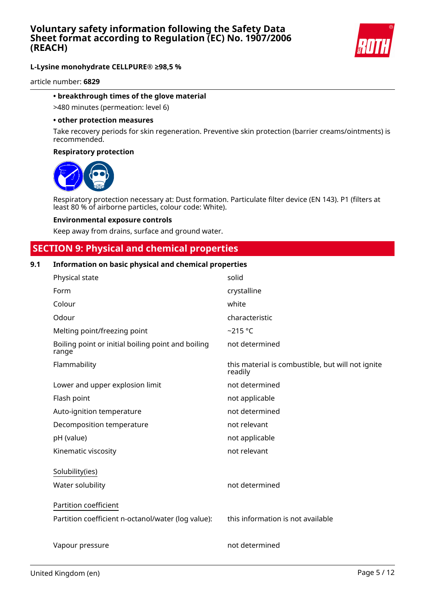

article number: **6829**

#### **• breakthrough times of the glove material**

>480 minutes (permeation: level 6)

#### **• other protection measures**

Take recovery periods for skin regeneration. Preventive skin protection (barrier creams/ointments) is recommended.

#### **Respiratory protection**



Respiratory protection necessary at: Dust formation. Particulate filter device (EN 143). P1 (filters at least 80 % of airborne particles, colour code: White).

#### **Environmental exposure controls**

Keep away from drains, surface and ground water.

### **SECTION 9: Physical and chemical properties**

### **9.1 Information on basic physical and chemical properties**

| Physical state                                              | solid                                                        |
|-------------------------------------------------------------|--------------------------------------------------------------|
| Form                                                        | crystalline                                                  |
| Colour                                                      | white                                                        |
| Odour                                                       | characteristic                                               |
| Melting point/freezing point                                | $-215$ °C                                                    |
| Boiling point or initial boiling point and boiling<br>range | not determined                                               |
| Flammability                                                | this material is combustible, but will not ignite<br>readily |
| Lower and upper explosion limit                             | not determined                                               |
| Flash point                                                 | not applicable                                               |
| Auto-ignition temperature                                   | not determined                                               |
| Decomposition temperature                                   | not relevant                                                 |
| pH (value)                                                  | not applicable                                               |
| Kinematic viscosity                                         | not relevant                                                 |
| Solubility(ies)                                             |                                                              |
| Water solubility                                            | not determined                                               |
| Partition coefficient                                       |                                                              |
| Partition coefficient n-octanol/water (log value):          | this information is not available                            |
| Vapour pressure                                             | not determined                                               |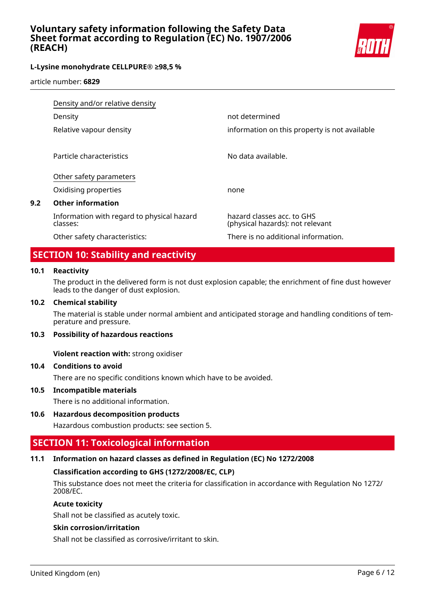

article number: **6829**

|     | Density and/or relative density                        |                                                                |  |
|-----|--------------------------------------------------------|----------------------------------------------------------------|--|
|     | Density                                                | not determined                                                 |  |
|     | Relative vapour density                                | information on this property is not available                  |  |
|     | Particle characteristics                               | No data available.                                             |  |
|     | Other safety parameters                                |                                                                |  |
|     | Oxidising properties                                   | none                                                           |  |
| 9.2 | <b>Other information</b>                               |                                                                |  |
|     | Information with regard to physical hazard<br>classes: | hazard classes acc. to GHS<br>(physical hazards): not relevant |  |
|     | Other safety characteristics:                          | There is no additional information.                            |  |

### **SECTION 10: Stability and reactivity**

### **10.1 Reactivity**

The product in the delivered form is not dust explosion capable; the enrichment of fine dust however leads to the danger of dust explosion.

### **10.2 Chemical stability**

The material is stable under normal ambient and anticipated storage and handling conditions of temperature and pressure.

### **10.3 Possibility of hazardous reactions**

**Violent reaction with:** strong oxidiser

### **10.4 Conditions to avoid**

There are no specific conditions known which have to be avoided.

### **10.5 Incompatible materials**

There is no additional information.

### **10.6 Hazardous decomposition products**

Hazardous combustion products: see section 5.

### **SECTION 11: Toxicological information**

### **11.1 Information on hazard classes as defined in Regulation (EC) No 1272/2008**

### **Classification according to GHS (1272/2008/EC, CLP)**

This substance does not meet the criteria for classification in accordance with Regulation No 1272/ 2008/EC.

### **Acute toxicity**

Shall not be classified as acutely toxic.

### **Skin corrosion/irritation**

Shall not be classified as corrosive/irritant to skin.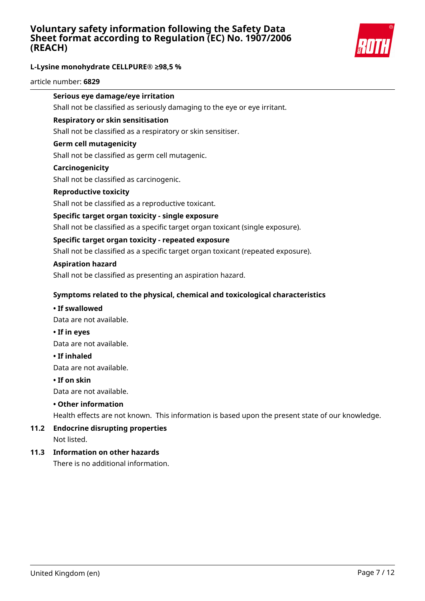

### **L-Lysine monohydrate CELLPURE® ≥98,5 %**

article number: **6829**

### **Serious eye damage/eye irritation**

Shall not be classified as seriously damaging to the eye or eye irritant.

#### **Respiratory or skin sensitisation**

Shall not be classified as a respiratory or skin sensitiser.

#### **Germ cell mutagenicity**

Shall not be classified as germ cell mutagenic.

#### **Carcinogenicity**

Shall not be classified as carcinogenic.

#### **Reproductive toxicity**

Shall not be classified as a reproductive toxicant.

### **Specific target organ toxicity - single exposure**

Shall not be classified as a specific target organ toxicant (single exposure).

### **Specific target organ toxicity - repeated exposure**

Shall not be classified as a specific target organ toxicant (repeated exposure).

#### **Aspiration hazard**

Shall not be classified as presenting an aspiration hazard.

### **Symptoms related to the physical, chemical and toxicological characteristics**

#### **• If swallowed**

Data are not available.

**• If in eyes**

Data are not available.

#### **• If inhaled**

Data are not available.

#### **• If on skin**

Data are not available.

### **• Other information**

Health effects are not known. This information is based upon the present state of our knowledge.

# **11.2 Endocrine disrupting properties**

Not listed.

### **11.3 Information on other hazards**

There is no additional information.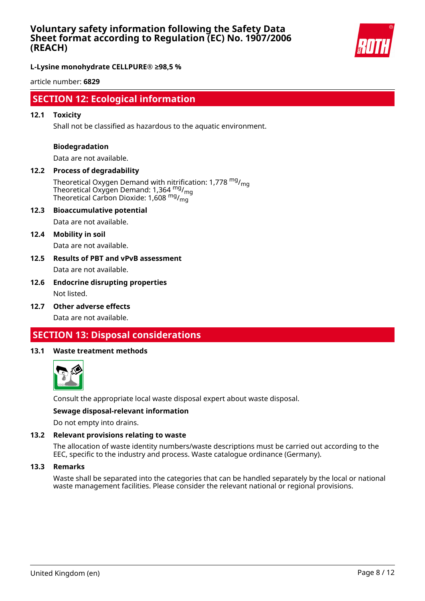

**L-Lysine monohydrate CELLPURE® ≥98,5 %**

article number: **6829**

### **SECTION 12: Ecological information**

### **12.1 Toxicity**

Shall not be classified as hazardous to the aquatic environment.

#### **Biodegradation**

Data are not available.

### **12.2 Process of degradability**

Theoretical Oxygen Demand with nitrification: 1,778  $mg/m<sub>on</sub>$ Theoretical Oxygen Demand: 1,364 <sup>mg</sup>/<sub>mg</sub> Theoretical Carbon Dioxide: 1,608 mg/mg

#### **12.3 Bioaccumulative potential**

Data are not available.

#### **12.4 Mobility in soil**

Data are not available.

### **12.5 Results of PBT and vPvB assessment** Data are not available.

### **12.6 Endocrine disrupting properties** Not listed.

**12.7 Other adverse effects**

Data are not available.

### **SECTION 13: Disposal considerations**

#### **13.1 Waste treatment methods**



Consult the appropriate local waste disposal expert about waste disposal.

#### **Sewage disposal-relevant information**

Do not empty into drains.

### **13.2 Relevant provisions relating to waste**

The allocation of waste identity numbers/waste descriptions must be carried out according to the EEC, specific to the industry and process. Waste catalogue ordinance (Germany).

#### **13.3 Remarks**

Waste shall be separated into the categories that can be handled separately by the local or national waste management facilities. Please consider the relevant national or regional provisions.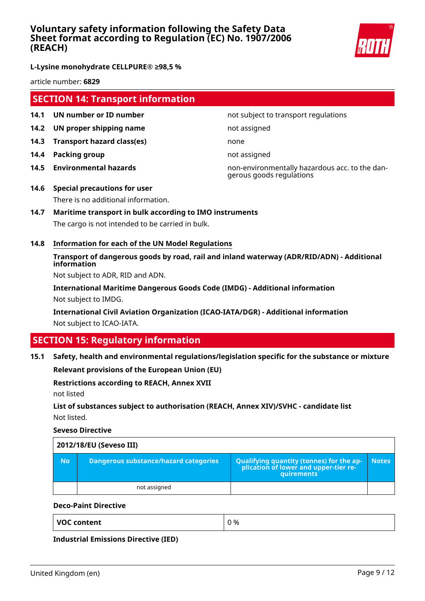

**L-Lysine monohydrate CELLPURE® ≥98,5 %**

article number: **6829**

### **SECTION 14: Transport information**

- **14.1 UN number or ID number not subject to transport regulations**
- **14.2 UN proper shipping name** not assigned
- **14.3 Transport hazard class(es)** none
- **14.4 Packing group not assigned**
- 

**14.5 Environmental hazards** non-environmentally hazardous acc. to the dangerous goods regulations

- **14.6 Special precautions for user** There is no additional information.
- **14.7 Maritime transport in bulk according to IMO instruments** The cargo is not intended to be carried in bulk.
- **14.8 Information for each of the UN Model Regulations**

### **Transport of dangerous goods by road, rail and inland waterway (ADR/RID/ADN) - Additional information**

Not subject to ADR, RID and ADN.

**International Maritime Dangerous Goods Code (IMDG) - Additional information** Not subject to IMDG.

**International Civil Aviation Organization (ICAO-IATA/DGR) - Additional information** Not subject to ICAO-IATA.

### **SECTION 15: Regulatory information**

### **15.1 Safety, health and environmental regulations/legislation specific for the substance or mixture**

**Relevant provisions of the European Union (EU)**

### **Restrictions according to REACH, Annex XVII**

not listed

### **List of substances subject to authorisation (REACH, Annex XIV)/SVHC - candidate list** Not listed.

**Seveso Directive**

|           | 2012/18/EU (Seveso III)               |                                                                                            |              |  |
|-----------|---------------------------------------|--------------------------------------------------------------------------------------------|--------------|--|
| <b>No</b> | Dangerous substance/hazard categories | Qualifying quantity (tonnes) for the application of lower and upper-tier re-<br>quirements | <b>Notes</b> |  |
|           | not assigned                          |                                                                                            |              |  |

### **Deco-Paint Directive**

**Industrial Emissions Directive (IED)**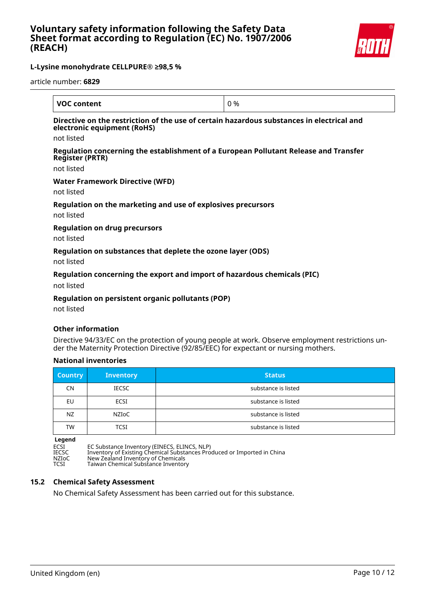

article number: **6829**

| <b>VOC content</b>                                                                                                       | 0 % |
|--------------------------------------------------------------------------------------------------------------------------|-----|
| Directive on the restriction of the use of certain hazardous substances in electrical and<br>electronic equipment (RoHS) |     |
| not listed                                                                                                               |     |
| Regulation concerning the establishment of a European Pollutant Release and Transfer<br><b>Register (PRTR)</b>           |     |
| not listed                                                                                                               |     |
| <b>Water Framework Directive (WFD)</b>                                                                                   |     |
| not listed                                                                                                               |     |
| Regulation on the marketing and use of explosives precursors<br>not listed                                               |     |
| <b>Regulation on drug precursors</b>                                                                                     |     |
| not listed                                                                                                               |     |
| Regulation on substances that deplete the ozone layer (ODS)                                                              |     |

not listed

### **Regulation concerning the export and import of hazardous chemicals (PIC)**

not listed

### **Regulation on persistent organic pollutants (POP)**

not listed

### **Other information**

Directive 94/33/EC on the protection of young people at work. Observe employment restrictions under the Maternity Protection Directive (92/85/EEC) for expectant or nursing mothers.

### **National inventories**

| <b>Country</b> | <b>Inventory</b> | <b>Status</b>       |
|----------------|------------------|---------------------|
| <b>CN</b>      | <b>IECSC</b>     | substance is listed |
| EU             | ECSI             | substance is listed |
| NZ.            | NZIoC            | substance is listed |
| <b>TW</b>      | TCSI             | substance is listed |

**Legend**

ECSI EC Substance Inventory (EINECS, ELINCS, NLP) IECSC Inventory of Existing Chemical Substances Produced or Imported in China NZIoC New Zealand Inventory of Chemicals TCSI Taiwan Chemical Substance Inventory

### **15.2 Chemical Safety Assessment**

No Chemical Safety Assessment has been carried out for this substance.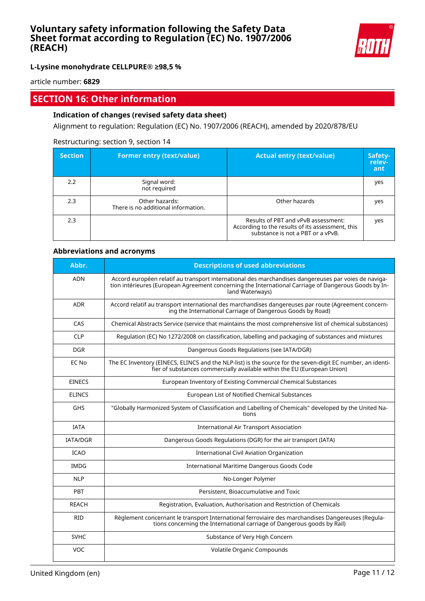

**L-Lysine monohydrate CELLPURE® ≥98,5 %**

article number: **6829**

### **SECTION 16: Other information**

### **Indication of changes (revised safety data sheet)**

Alignment to regulation: Regulation (EC) No. 1907/2006 (REACH), amended by 2020/878/EU

### Restructuring: section 9, section 14

| <b>Section</b> | <b>Former entry (text/value)</b>                      | <b>Actual entry (text/value)</b>                                                                                             | Safety-<br>relev-<br>ant |
|----------------|-------------------------------------------------------|------------------------------------------------------------------------------------------------------------------------------|--------------------------|
| 2.2            | Signal word:<br>not required                          |                                                                                                                              | yes                      |
| 2.3            | Other hazards:<br>There is no additional information. | Other hazards                                                                                                                | yes                      |
| 2.3            |                                                       | Results of PBT and vPvB assessment:<br>According to the results of its assessment, this<br>substance is not a PBT or a vPvB. | yes                      |

### **Abbreviations and acronyms**

| Abbr.           | <b>Descriptions of used abbreviations</b>                                                                                                                                                                                       |
|-----------------|---------------------------------------------------------------------------------------------------------------------------------------------------------------------------------------------------------------------------------|
| <b>ADN</b>      | Accord européen relatif au transport international des marchandises dangereuses par voies de naviga-<br>tion intérieures (European Agreement concerning the International Carriage of Dangerous Goods by In-<br>land Waterways) |
| <b>ADR</b>      | Accord relatif au transport international des marchandises dangereuses par route (Agreement concern-<br>ing the International Carriage of Dangerous Goods by Road)                                                              |
| CAS             | Chemical Abstracts Service (service that maintains the most comprehensive list of chemical substances)                                                                                                                          |
| <b>CLP</b>      | Regulation (EC) No 1272/2008 on classification, labelling and packaging of substances and mixtures                                                                                                                              |
| <b>DGR</b>      | Dangerous Goods Regulations (see IATA/DGR)                                                                                                                                                                                      |
| EC No           | The EC Inventory (EINECS, ELINCS and the NLP-list) is the source for the seven-digit EC number, an identi-<br>fier of substances commercially available within the EU (European Union)                                          |
| <b>EINECS</b>   | European Inventory of Existing Commercial Chemical Substances                                                                                                                                                                   |
| <b>ELINCS</b>   | European List of Notified Chemical Substances                                                                                                                                                                                   |
| <b>GHS</b>      | "Globally Harmonized System of Classification and Labelling of Chemicals" developed by the United Na-<br>tions                                                                                                                  |
| <b>IATA</b>     | <b>International Air Transport Association</b>                                                                                                                                                                                  |
| <b>IATA/DGR</b> | Dangerous Goods Regulations (DGR) for the air transport (IATA)                                                                                                                                                                  |
| <b>ICAO</b>     | International Civil Aviation Organization                                                                                                                                                                                       |
| <b>IMDG</b>     | International Maritime Dangerous Goods Code                                                                                                                                                                                     |
| <b>NLP</b>      | No-Longer Polymer                                                                                                                                                                                                               |
| PBT             | Persistent, Bioaccumulative and Toxic                                                                                                                                                                                           |
| <b>REACH</b>    | Registration, Evaluation, Authorisation and Restriction of Chemicals                                                                                                                                                            |
| <b>RID</b>      | Règlement concernant le transport International ferroviaire des marchandises Dangereuses (Regula-<br>tions concerning the International carriage of Dangerous goods by Rail)                                                    |
| <b>SVHC</b>     | Substance of Very High Concern                                                                                                                                                                                                  |
| VOC             | Volatile Organic Compounds                                                                                                                                                                                                      |